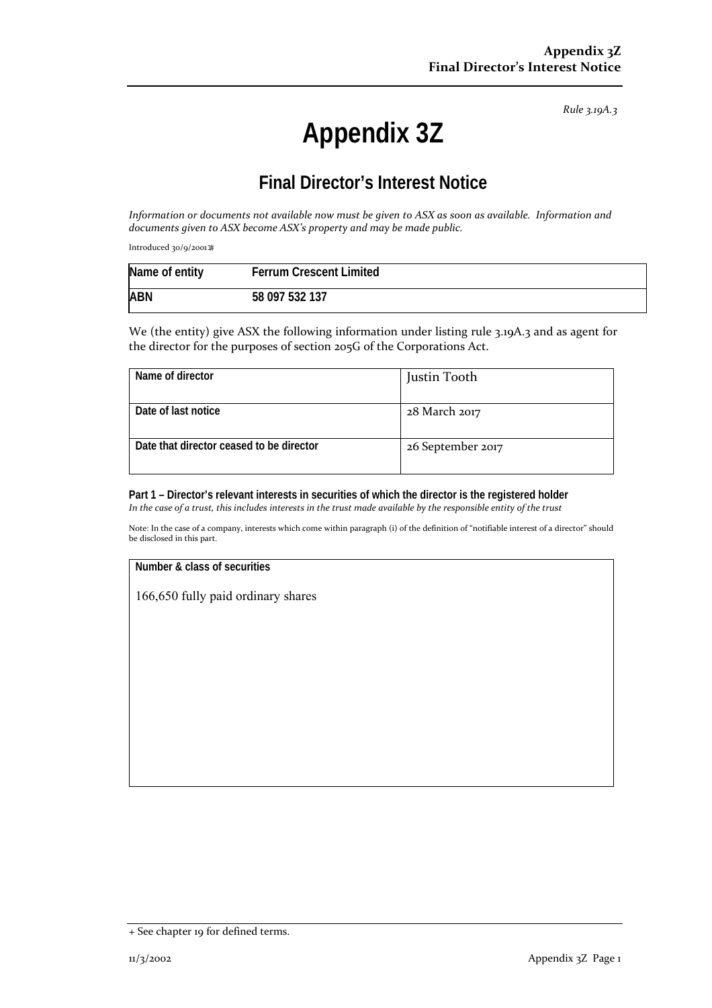*Rule 3.19A.3*

# **Appendix 3Z**

## **Final Director's Interest Notice**

Information or documents not available now must be given to ASX as soon as available. Information and *documents given to ASX become ASX's property and may be made public.*

Introduced 30/9/2001

| Name of entity | <b>Ferrum Crescent Limited</b> |
|----------------|--------------------------------|
| <b>ABN</b>     | 58 097 532 137                 |

We (the entity) give ASX the following information under listing rule 3.19A.3 and as agent for the director for the purposes of section 205G of the Corporations Act.

| Name of director                         | Justin Tooth      |
|------------------------------------------|-------------------|
| Date of last notice                      | 28 March 2017     |
| Date that director ceased to be director | 26 September 2017 |

**Part 1 – Director's relevant interests in securities of which the director is the registered holder** In the case of a trust, this includes interests in the trust made available by the responsible entity of the trust

Note: In the case of a company, interests which come within paragraph (i) of the definition of "notifiable interest of a director" should be disclosed in this part.

#### **Number & class of securities**

166,650 fully paid ordinary shares

<sup>+</sup> See chapter 19 for defined terms.